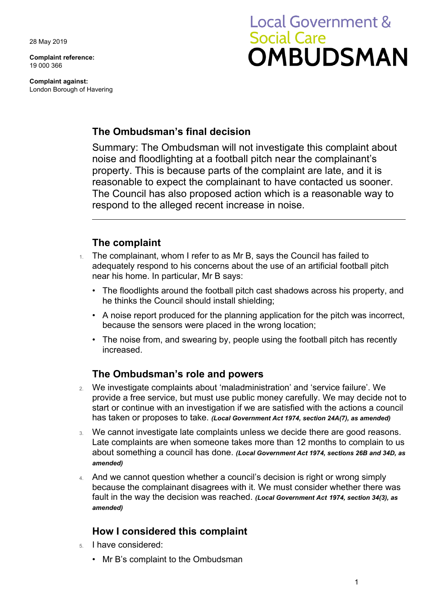28 May 2019

**Complaint reference:**  19 000 366

**Complaint against:**  London Borough of Havering

# **Local Government & Social Care OMBUDSMAN**

#### **The Ombudsman's final decision**

Summary: The Ombudsman will not investigate this complaint about noise and floodlighting at a football pitch near the complainant's property. This is because parts of the complaint are late, and it is reasonable to expect the complainant to have contacted us sooner. The Council has also proposed action which is a reasonable way to respond to the alleged recent increase in noise.

#### **The complaint**

- adequately respond to his concerns about the use of an artificial football pitch 1. The complainant, whom I refer to as Mr B, says the Council has failed to near his home. In particular, Mr B says:
	- The floodlights around the football pitch cast shadows across his property, and he thinks the Council should install shielding;
	- A noise report produced for the planning application for the pitch was incorrect, because the sensors were placed in the wrong location;
	- The noise from, and swearing by, people using the football pitch has recently increased.

# **The Ombudsman's role and powers**

- 2. We investigate complaints about 'maladministration' and 'service failure'. We provide a free service, but must use public money carefully. We may decide not to start or continue with an investigation if we are satisfied with the actions a council has taken or proposes to take. *(Local Government Act 1974, section 24A(7), as amended)*
- Late complaints are when someone takes more than 12 months to complain to us 3. We cannot investigate late complaints unless we decide there are good reasons. about something a council has done. *(Local Government Act 1974, sections 26B and 34D, as amended)*
- fault in the way the decision was reached. *(Local Government Act 1974, section 34(3), as*  4. And we cannot question whether a council's decision is right or wrong simply because the complainant disagrees with it. We must consider whether there was *amended)*

# **How I considered this complaint**

- 5. I have considered:
	- Mr B's complaint to the Ombudsman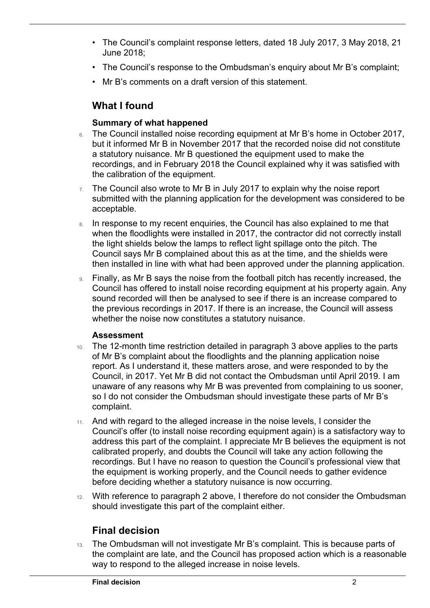- The Council's complaint response letters, dated 18 July 2017, 3 May 2018, 21 June 2018;
- The Council's response to the Ombudsman's enquiry about Mr B's complaint;
- Mr B's comments on a draft version of this statement.

### **What I found**

 $\overline{a}$ 

#### **Summary of what happened**

- 6. The Council installed noise recording equipment at Mr B's home in October 2017, but it informed Mr B in November 2017 that the recorded noise did not constitute a statutory nuisance. Mr B questioned the equipment used to make the recordings, and in February 2018 the Council explained why it was satisfied with the calibration of the equipment.
- submitted with the planning application for the development was considered to be  $7.$  The Council also wrote to Mr B in July 2017 to explain why the noise report acceptable.
- 8. In response to my recent enquiries, the Council has also explained to me that when the floodlights were installed in 2017, the contractor did not correctly install the light shields below the lamps to reflect light spillage onto the pitch. The Council says Mr B complained about this as at the time, and the shields were then installed in line with what had been approved under the planning application.
- 9. Finally, as Mr B says the noise from the football pitch has recently increased, the Council has offered to install noise recording equipment at his property again. Any sound recorded will then be analysed to see if there is an increase compared to the previous recordings in 2017. If there is an increase, the Council will assess whether the noise now constitutes a statutory nuisance.

#### **Assessment**

- 10. The 12-month time restriction detailed in paragraph 3 above applies to the parts report. As I understand it, these matters arose, and were responded to by the of Mr B's complaint about the floodlights and the planning application noise Council, in 2017. Yet Mr B did not contact the Ombudsman until April 2019. I am unaware of any reasons why Mr B was prevented from complaining to us sooner, so I do not consider the Ombudsman should investigate these parts of Mr B's complaint.
- 11. And with regard to the alleged increase in the noise levels, I consider the calibrated properly, and doubts the Council will take any action following the recordings. But I have no reason to question the Council's professional view that Council's offer (to install noise recording equipment again) is a satisfactory way to address this part of the complaint. I appreciate Mr B believes the equipment is not the equipment is working properly, and the Council needs to gather evidence before deciding whether a statutory nuisance is now occurring.
- 12. With reference to paragraph 2 above, I therefore do not consider the Ombudsman should investigate this part of the complaint either.

# **Final decision**

 way to respond to the alleged increase in noise levels. 13. The Ombudsman will not investigate Mr B's complaint. This is because parts of the complaint are late, and the Council has proposed action which is a reasonable